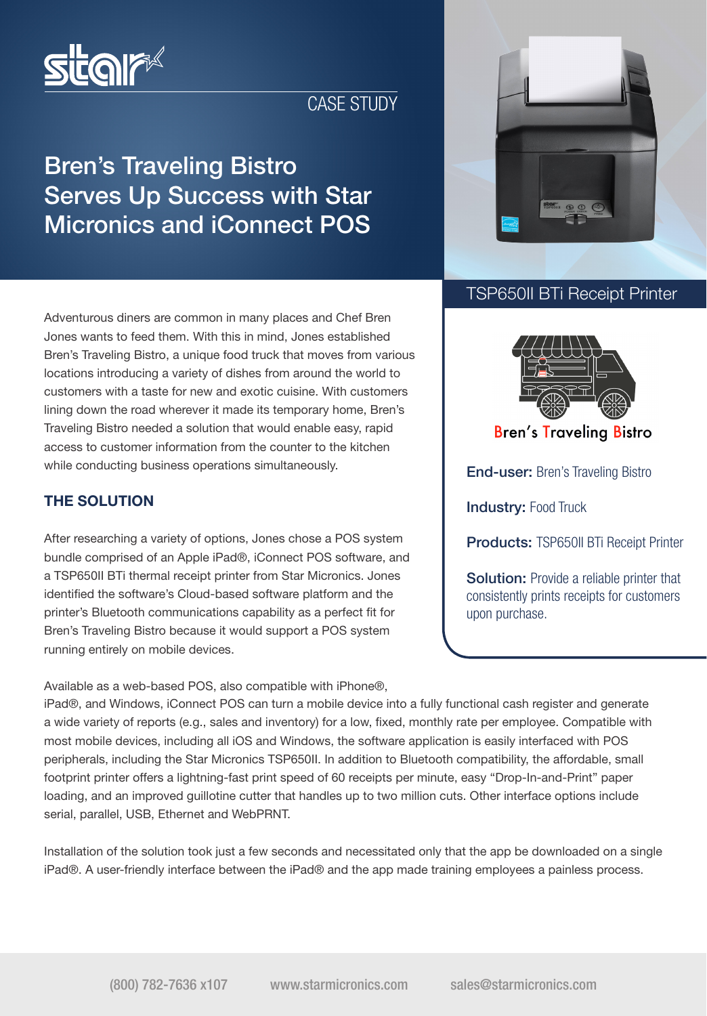

## CASE STUDY

# Bren's Traveling Bistro Serves Up Success with Star Micronics and iConnect POS



## TSP650II BTi Receipt Printer

End-user: Bren's Traveling Bistro

**Bren's Traveling Bistro** 

**Products: TSP650II BTi Receipt Printer** 

**Solution:** Provide a reliable printer that consistently prints receipts for customers

**Industry: Food Truck** 

upon purchase.

Adventurous diners are common in many places and Chef Bren Jones wants to feed them. With this in mind, Jones established Bren's Traveling Bistro, a unique food truck that moves from various locations introducing a variety of dishes from around the world to customers with a taste for new and exotic cuisine. With customers lining down the road wherever it made its temporary home, Bren's Traveling Bistro needed a solution that would enable easy, rapid access to customer information from the counter to the kitchen while conducting business operations simultaneously.

### THE SOLUTION

After researching a variety of options, Jones chose a POS system bundle comprised of an Apple iPad®, iConnect POS software, and a TSP650II BTi thermal receipt printer from Star Micronics. Jones identified the software's Cloud-based software platform and the printer's Bluetooth communications capability as a perfect fit for Bren's Traveling Bistro because it would support a POS system running entirely on mobile devices.

Available as a web-based POS, also compatible with iPhone®,

iPad®, and Windows, iConnect POS can turn a mobile device into a fully functional cash register and generate a wide variety of reports (e.g., sales and inventory) for a low, fixed, monthly rate per employee. Compatible with most mobile devices, including all iOS and Windows, the software application is easily interfaced with POS peripherals, including the Star Micronics TSP650II. In addition to Bluetooth compatibility, the affordable, small footprint printer offers a lightning-fast print speed of 60 receipts per minute, easy "Drop-In-and-Print" paper loading, and an improved guillotine cutter that handles up to two million cuts. Other interface options include serial, parallel, USB, Ethernet and WebPRNT.

Installation of the solution took just a few seconds and necessitated only that the app be downloaded on a single iPad®. A user-friendly interface between the iPad® and the app made training employees a painless process.